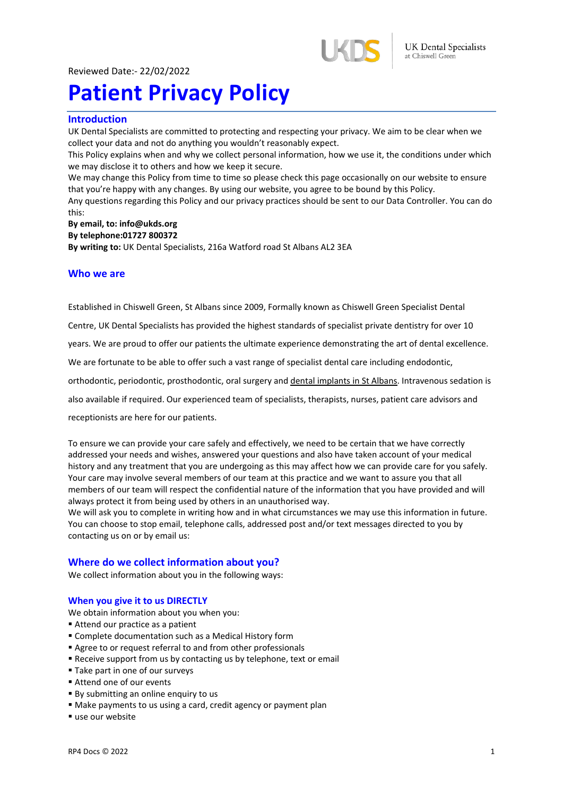

Reviewed Date:- 22/02/2022

# **Patient Privacy Policy**

## **Introduction**

UK Dental Specialists are committed to protecting and respecting your privacy. We aim to be clear when we collect your data and not do anything you wouldn't reasonably expect.

This Policy explains when and why we collect personal information, how we use it, the conditions under which we may disclose it to others and how we keep it secure.

We may change this Policy from time to time so please check this page occasionally on our website to ensure that you're happy with any changes. By using our website, you agree to be bound by this Policy.

Any questions regarding this Policy and our privacy practices should be sent to our Data Controller. You can do this:

# **By email, to: info@ukds.org**

**By telephone:01727 800372**

**By writing to:** UK Dental Specialists, 216a Watford road St Albans AL2 3EA

# **Who we are**

Established in Chiswell Green, St Albans since 2009, Formally known as Chiswell Green Specialist Dental

Centre, UK Dental Specialists has provided the highest standards of specialist private dentistry for over 10

years. We are proud to offer our patients the ultimate experience demonstrating the art of dental excellence.

We are fortunate to be able to offer such a vast range of specialist dental care including endodontic,

orthodontic, periodontic, prosthodontic, oral surgery and dental [implants](https://ukdentalspecialists.co.uk/dental-implants-st-albans/) in St Albans. Intravenous sedation is

also available if required. Our experienced team of specialists, therapists, nurses, patient care advisors and

receptionists are here for our patients.

To ensure we can provide your care safely and effectively, we need to be certain that we have correctly addressed your needs and wishes, answered your questions and also have taken account of your medical history and any treatment that you are undergoing as this may affect how we can provide care for you safely. Your care may involve several members of our team at this practice and we want to assure you that all members of our team will respect the confidential nature of the information that you have provided and will always protect it from being used by others in an unauthorised way.

We will ask you to complete in writing how and in what circumstances we may use this information in future. You can choose to stop email, telephone calls, addressed post and/or text messages directed to you by contacting us on or by email us:

# **Where do we collect information about you?**

We collect information about you in the following ways:

#### **When you give it to us DIRECTLY**

We obtain information about you when you:

- Attend our practice as a patient
- Complete documentation such as a Medical History form
- Agree to or request referral to and from other professionals
- Receive support from us by contacting us by telephone, text or email
- Take part in one of our surveys
- Attend one of our events
- By submitting an online enquiry to us
- Make payments to us using a card, credit agency or payment plan
- use our website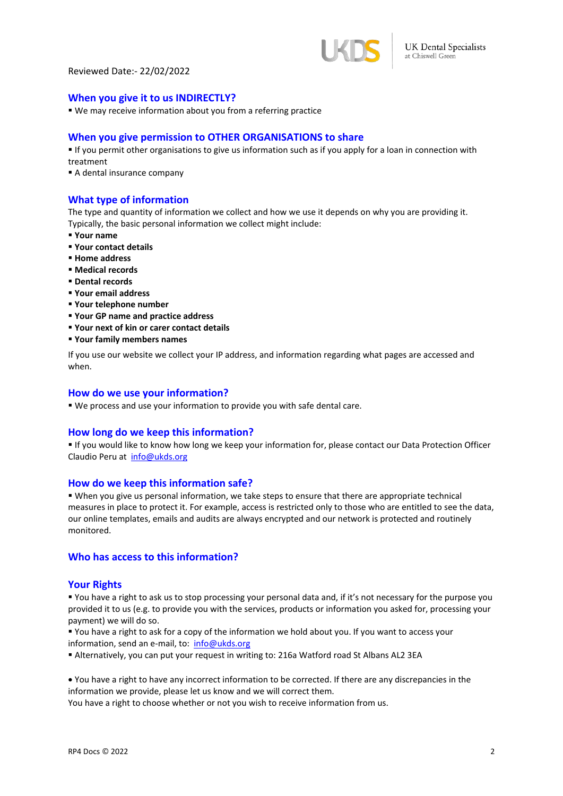

Reviewed Date:- 22/02/2022

# **When you give it to us INDIRECTLY?**

We may receive information about you from a referring practice

# **When you give permission to OTHER ORGANISATIONS to share**

 If you permit other organisations to give us information such as if you apply for a loan in connection with treatment

A dental insurance company

# **What type of information**

The type and quantity of information we collect and how we use it depends on why you are providing it. Typically, the basic personal information we collect might include:

- **Your name**
- **Your contact details**
- **Home address**
- **Medical records**
- **Dental records**
- **Your email address**
- **Your telephone number**
- **Your GP name and practice address**
- **Your next of kin or carer contact details**
- **Your family members names**

If you use our website we collect your IP address, and information regarding what pages are accessed and when.

#### **How do we use your information?**

We process and use your information to provide you with safe dental care.

#### **How long do we keep this information?**

 If you would like to know how long we keep your information for, please contact our Data Protection Officer Claudio Peru at [info@ukds.org](mailto:info@ukds.org)

#### **How do we keep this information safe?**

 When you give us personal information, we take steps to ensure that there are appropriate technical measures in place to protect it. For example, access is restricted only to those who are entitled to see the data, our online templates, emails and audits are always encrypted and our network is protected and routinely monitored.

#### **Who has access to this information?**

#### **Your Rights**

 You have a right to ask us to stop processing your personal data and, if it's not necessary for the purpose you provided it to us (e.g. to provide you with the services, products or information you asked for, processing your payment) we will do so.

 You have a right to ask for a copy of the information we hold about you. If you want to access your information, send an e-mail, to: [info@ukds.org](mailto:info@ukds.org)

Alternatively, you can put your request in writing to: 216a Watford road St Albans AL2 3EA

• You have a right to have any incorrect information to be corrected. If there are any discrepancies in the information we provide, please let us know and we will correct them.

You have a right to choose whether or not you wish to receive information from us.